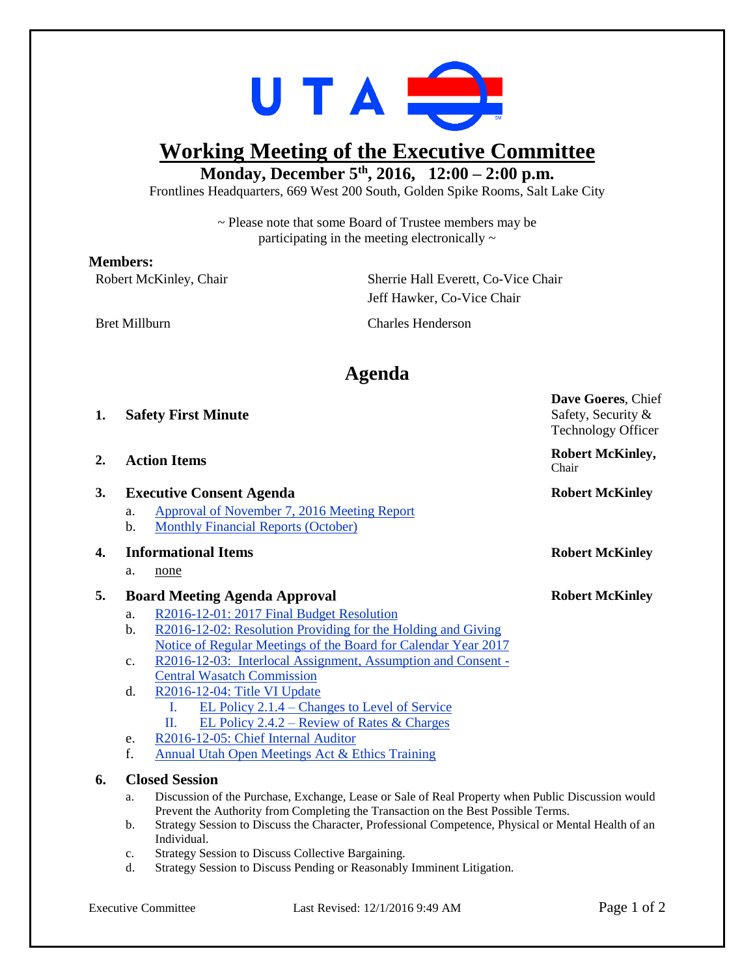

# **Working Meeting of the Executive Committee**

### **Monday, December 5 th , 2016, 12:00 – 2:00 p.m.**

Frontlines Headquarters, 669 West 200 South, Golden Spike Rooms, Salt Lake City

~ Please note that some Board of Trustee members may be participating in the meeting electronically  $\sim$ 

#### **Members:**

Robert McKinley, Chair Sherrie Hall Everett, Co-Vice Chair Jeff Hawker, Co-Vice Chair

Bret Millburn Charles Henderson

## **Agenda**

| 1.               |                                                        | <b>Safety First Minute</b>                                                                                                                                                               | Safety, Security &<br><b>Technology Officer</b>            |
|------------------|--------------------------------------------------------|------------------------------------------------------------------------------------------------------------------------------------------------------------------------------------------|------------------------------------------------------------|
| $\overline{2}$ . | <b>Action Items</b><br><b>Executive Consent Agenda</b> |                                                                                                                                                                                          | <b>Robert McKinley,</b><br>Chair<br><b>Robert McKinley</b> |
| 3.               |                                                        |                                                                                                                                                                                          |                                                            |
|                  | a.                                                     | Approval of November 7, 2016 Meeting Report                                                                                                                                              |                                                            |
|                  | b.                                                     | <b>Monthly Financial Reports (October)</b>                                                                                                                                               |                                                            |
| 4.               | <b>Informational Items</b>                             |                                                                                                                                                                                          | <b>Robert McKinley</b>                                     |
|                  | a.                                                     | none                                                                                                                                                                                     |                                                            |
| 5.               | <b>Board Meeting Agenda Approval</b>                   |                                                                                                                                                                                          | <b>Robert McKinley</b>                                     |
|                  | a.                                                     | R2016-12-01: 2017 Final Budget Resolution                                                                                                                                                |                                                            |
|                  | b.                                                     | R2016-12-02: Resolution Providing for the Holding and Giving                                                                                                                             |                                                            |
|                  |                                                        | Notice of Regular Meetings of the Board for Calendar Year 2017                                                                                                                           |                                                            |
|                  | $\mathbf{c}$ .                                         | R2016-12-03: Interlocal Assignment, Assumption and Consent -                                                                                                                             |                                                            |
|                  |                                                        | <b>Central Wasatch Commission</b>                                                                                                                                                        |                                                            |
|                  | d.                                                     | R2016-12-04: Title VI Update                                                                                                                                                             |                                                            |
|                  |                                                        | <u>EL Policy 2.1.4 – Changes to Level of Service</u><br>L                                                                                                                                |                                                            |
|                  |                                                        | П.<br><u>EL Policy 2.4.2 – Review of Rates &amp; Charges</u>                                                                                                                             |                                                            |
|                  | e.                                                     | R2016-12-05: Chief Internal Auditor                                                                                                                                                      |                                                            |
|                  | f.                                                     | <b>Annual Utah Open Meetings Act &amp; Ethics Training</b>                                                                                                                               |                                                            |
| 6.               | <b>Closed Session</b>                                  |                                                                                                                                                                                          |                                                            |
|                  | a.                                                     | Discussion of the Purchase, Exchange, Lease or Sale of Real Property when Public Discussion would                                                                                        |                                                            |
|                  | b.                                                     | Prevent the Authority from Completing the Transaction on the Best Possible Terms.<br>Strategy Session to Discuss the Character, Professional Competence, Physical or Mental Health of an |                                                            |
|                  |                                                        | Individual.                                                                                                                                                                              |                                                            |

- c. Strategy Session to Discuss Collective Bargaining.
- d. Strategy Session to Discuss Pending or Reasonably Imminent Litigation.

**Dave Goeres**, Chief